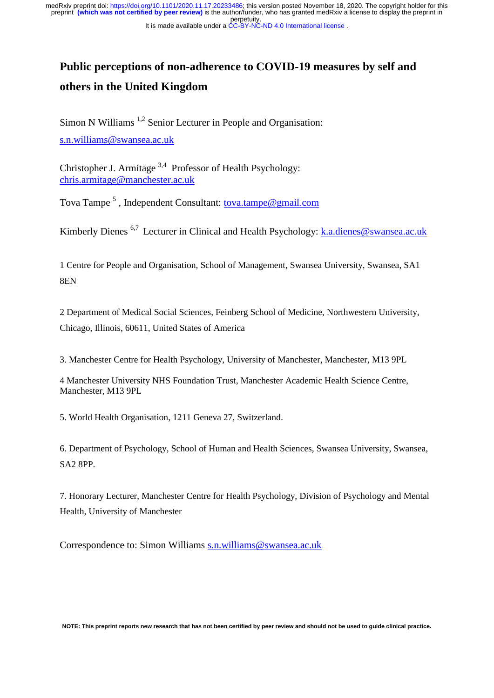perpetuity. medRxiv preprint doi: [https://doi.org/10.1101/2020.11.17.20233486;](https://doi.org/10.1101/2020.11.17.20233486) this version posted November 18, 2020. The copyright holder for this<br>preprint (which was not certified by peer review) is the author/funder, who has grante

It is made available under a [CC-BY-NC-ND 4.0 International license](http://creativecommons.org/licenses/by-nc-nd/4.0/) .

# **Public perceptions of non-adherence to COVID-19 measures by self and others in the United Kingdom**

Simon N Williams<sup>1,2</sup> Senior Lecturer in People and Organisation: [s.n.williams@swansea.ac.uk](mailto:s.n.williams@swansea.ac.uk)

Christopher J. Armitage 3,4 Professor of Health Psychology: [chris.armitage@manchester.ac.uk](mailto:chris.armitage@manchester.ac.uk) 

Tova Tampe<sup>5</sup>, Independent Consultant: [tova.tampe@gmail.com](mailto:tova.tampe@gmail.com)

Kimberly Dienes <sup>6,7</sup> Lecturer in Clinical and Health Psychology: **k.a.dienes@swansea.ac.uk** 

1 Centre for People and Organisation, School of Management, Swansea University, Swansea, SA1 8EN

2 Department of Medical Social Sciences, Feinberg School of Medicine, Northwestern University, Chicago, Illinois, 60611, United States of America

3. Manchester Centre for Health Psychology, University of Manchester, Manchester, M13 9PL

4 Manchester University NHS Foundation Trust, Manchester Academic Health Science Centre, Manchester, M13 9PL

5. World Health Organisation, 1211 Geneva 27, Switzerland.

6. Department of Psychology, School of Human and Health Sciences, Swansea University, Swansea, SA2 8PP.

7. Honorary Lecturer, Manchester Centre for Health Psychology, Division of Psychology and Mental Health, University of Manchester

Correspondence to: Simon Williams [s.n.williams@swansea.ac.uk](mailto:s.n.williams@swansea.ac.uk)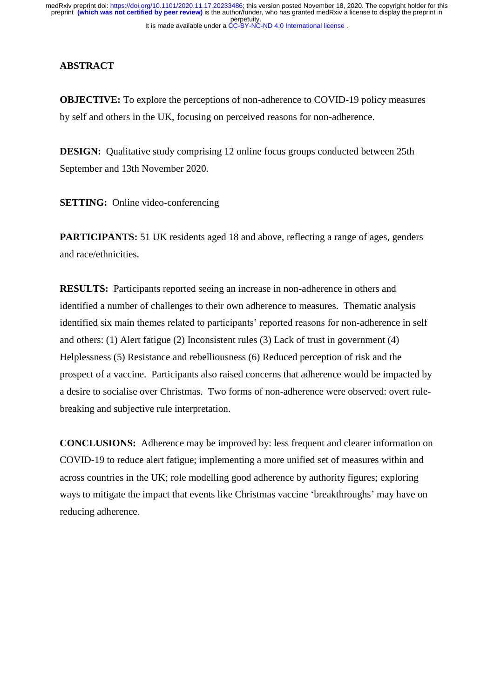# **ABSTRACT**

**OBJECTIVE:** To explore the perceptions of non-adherence to COVID-19 policy measures by self and others in the UK, focusing on perceived reasons for non-adherence.

**DESIGN:** Qualitative study comprising 12 online focus groups conducted between 25th September and 13th November 2020.

**SETTING:** Online video-conferencing

**PARTICIPANTS:** 51 UK residents aged 18 and above, reflecting a range of ages, genders and race/ethnicities.

**RESULTS:** Participants reported seeing an increase in non-adherence in others and identified a number of challenges to their own adherence to measures. Thematic analysis identified six main themes related to participants' reported reasons for non-adherence in self and others: (1) Alert fatigue (2) Inconsistent rules (3) Lack of trust in government (4) Helplessness (5) Resistance and rebelliousness (6) Reduced perception of risk and the prospect of a vaccine. Participants also raised concerns that adherence would be impacted by a desire to socialise over Christmas. Two forms of non-adherence were observed: overt rulebreaking and subjective rule interpretation.

**CONCLUSIONS:** Adherence may be improved by: less frequent and clearer information on COVID-19 to reduce alert fatigue; implementing a more unified set of measures within and across countries in the UK; role modelling good adherence by authority figures; exploring ways to mitigate the impact that events like Christmas vaccine 'breakthroughs' may have on reducing adherence.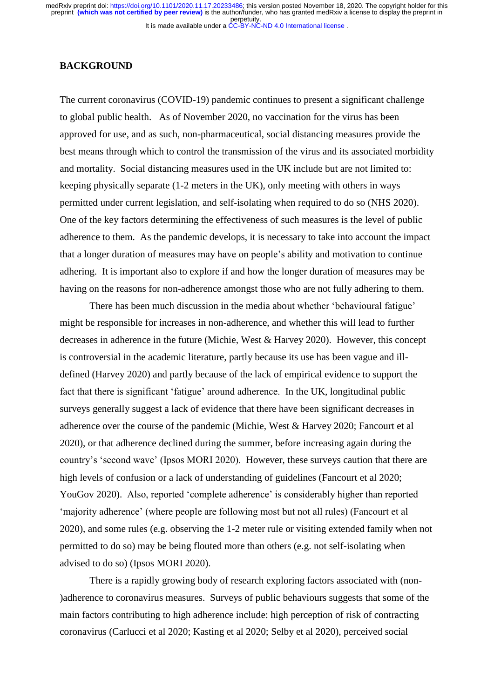# **BACKGROUND**

The current coronavirus (COVID-19) pandemic continues to present a significant challenge to global public health. As of November 2020, no vaccination for the virus has been approved for use, and as such, non-pharmaceutical, social distancing measures provide the best means through which to control the transmission of the virus and its associated morbidity and mortality. Social distancing measures used in the UK include but are not limited to: keeping physically separate (1-2 meters in the UK), only meeting with others in ways permitted under current legislation, and self-isolating when required to do so (NHS 2020). One of the key factors determining the effectiveness of such measures is the level of public adherence to them. As the pandemic develops, it is necessary to take into account the impact that a longer duration of measures may have on people's ability and motivation to continue adhering. It is important also to explore if and how the longer duration of measures may be having on the reasons for non-adherence amongst those who are not fully adhering to them.

There has been much discussion in the media about whether 'behavioural fatigue' might be responsible for increases in non-adherence, and whether this will lead to further decreases in adherence in the future (Michie, West & Harvey 2020). However, this concept is controversial in the academic literature, partly because its use has been vague and illdefined (Harvey 2020) and partly because of the lack of empirical evidence to support the fact that there is significant 'fatigue' around adherence. In the UK, longitudinal public surveys generally suggest a lack of evidence that there have been significant decreases in adherence over the course of the pandemic (Michie, West & Harvey 2020; Fancourt et al 2020), or that adherence declined during the summer, before increasing again during the country's 'second wave' (Ipsos MORI 2020). However, these surveys caution that there are high levels of confusion or a lack of understanding of guidelines (Fancourt et al 2020; YouGov 2020). Also, reported 'complete adherence' is considerably higher than reported 'majority adherence' (where people are following most but not all rules) (Fancourt et al 2020), and some rules (e.g. observing the 1-2 meter rule or visiting extended family when not permitted to do so) may be being flouted more than others (e.g. not self-isolating when advised to do so) (Ipsos MORI 2020).

There is a rapidly growing body of research exploring factors associated with (non- )adherence to coronavirus measures. Surveys of public behaviours suggests that some of the main factors contributing to high adherence include: high perception of risk of contracting coronavirus (Carlucci et al 2020; Kasting et al 2020; Selby et al 2020), perceived social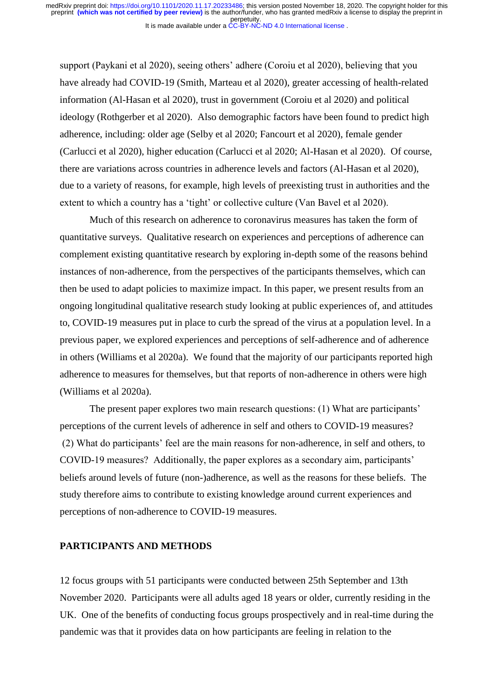support (Paykani et al 2020), seeing others' adhere (Coroiu et al 2020), believing that you have already had COVID-19 (Smith, Marteau et al 2020), greater accessing of health-related information (Al-Hasan et al 2020), trust in government (Coroiu et al 2020) and political ideology (Rothgerber et al 2020). Also demographic factors have been found to predict high adherence, including: older age (Selby et al 2020; Fancourt et al 2020), female gender (Carlucci et al 2020), higher education (Carlucci et al 2020; Al-Hasan et al 2020). Of course, there are variations across countries in adherence levels and factors (Al-Hasan et al 2020), due to a variety of reasons, for example, high levels of preexisting trust in authorities and the extent to which a country has a 'tight' or collective culture (Van Bavel et al 2020).

Much of this research on adherence to coronavirus measures has taken the form of quantitative surveys. Qualitative research on experiences and perceptions of adherence can complement existing quantitative research by exploring in-depth some of the reasons behind instances of non-adherence, from the perspectives of the participants themselves, which can then be used to adapt policies to maximize impact. In this paper, we present results from an ongoing longitudinal qualitative research study looking at public experiences of, and attitudes to, COVID-19 measures put in place to curb the spread of the virus at a population level. In a previous paper, we explored experiences and perceptions of self-adherence and of adherence in others (Williams et al 2020a). We found that the majority of our participants reported high adherence to measures for themselves, but that reports of non-adherence in others were high (Williams et al 2020a).

The present paper explores two main research questions: (1) What are participants' perceptions of the current levels of adherence in self and others to COVID-19 measures? (2) What do participants' feel are the main reasons for non-adherence, in self and others, to COVID-19 measures? Additionally, the paper explores as a secondary aim, participants' beliefs around levels of future (non-)adherence, as well as the reasons for these beliefs. The study therefore aims to contribute to existing knowledge around current experiences and perceptions of non-adherence to COVID-19 measures.

## **PARTICIPANTS AND METHODS**

12 focus groups with 51 participants were conducted between 25th September and 13th November 2020. Participants were all adults aged 18 years or older, currently residing in the UK. One of the benefits of conducting focus groups prospectively and in real-time during the pandemic was that it provides data on how participants are feeling in relation to the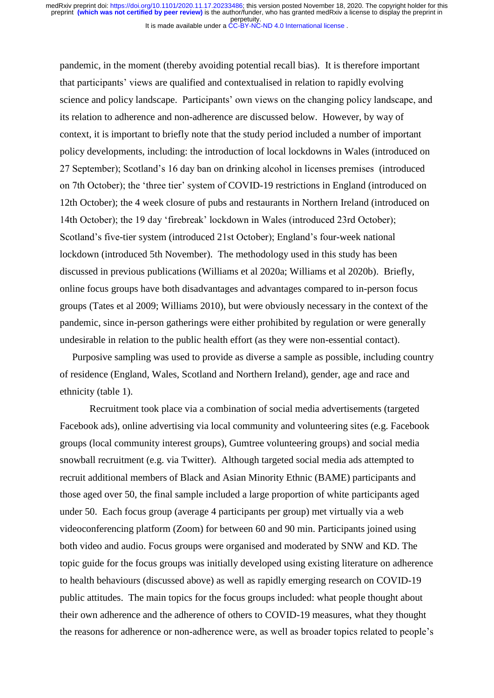pandemic, in the moment (thereby avoiding potential recall bias). It is therefore important that participants' views are qualified and contextualised in relation to rapidly evolving science and policy landscape. Participants' own views on the changing policy landscape, and its relation to adherence and non-adherence are discussed below. However, by way of context, it is important to briefly note that the study period included a number of important policy developments, including: the introduction of local lockdowns in Wales (introduced on 27 September); Scotland's 16 day ban on drinking alcohol in licenses premises (introduced on 7th October); the 'three tier' system of COVID-19 restrictions in England (introduced on 12th October); the 4 week closure of pubs and restaurants in Northern Ireland (introduced on 14th October); the 19 day 'firebreak' lockdown in Wales (introduced 23rd October); Scotland's five-tier system (introduced 21st October); England's four-week national lockdown (introduced 5th November). The methodology used in this study has been discussed in previous publications (Williams et al 2020a; Williams et al 2020b). Briefly, online focus groups have both disadvantages and advantages compared to in-person focus groups (Tates et al 2009; Williams 2010), but were obviously necessary in the context of the pandemic, since in-person gatherings were either prohibited by regulation or were generally undesirable in relation to the public health effort (as they were non-essential contact).

Purposive sampling was used to provide as diverse a sample as possible, including country of residence (England, Wales, Scotland and Northern Ireland), gender, age and race and ethnicity (table 1).

Recruitment took place via a combination of social media advertisements (targeted Facebook ads), online advertising via local community and volunteering sites (e.g. Facebook groups (local community interest groups), Gumtree volunteering groups) and social media snowball recruitment (e.g. via Twitter). Although targeted social media ads attempted to recruit additional members of Black and Asian Minority Ethnic (BAME) participants and those aged over 50, the final sample included a large proportion of white participants aged under 50. Each focus group (average 4 participants per group) met virtually via a web videoconferencing platform (Zoom) for between 60 and 90 min. Participants joined using both video and audio. Focus groups were organised and moderated by SNW and KD. The topic guide for the focus groups was initially developed using existing literature on adherence to health behaviours (discussed above) as well as rapidly emerging research on COVID-19 public attitudes. The main topics for the focus groups included: what people thought about their own adherence and the adherence of others to COVID-19 measures, what they thought the reasons for adherence or non-adherence were, as well as broader topics related to people's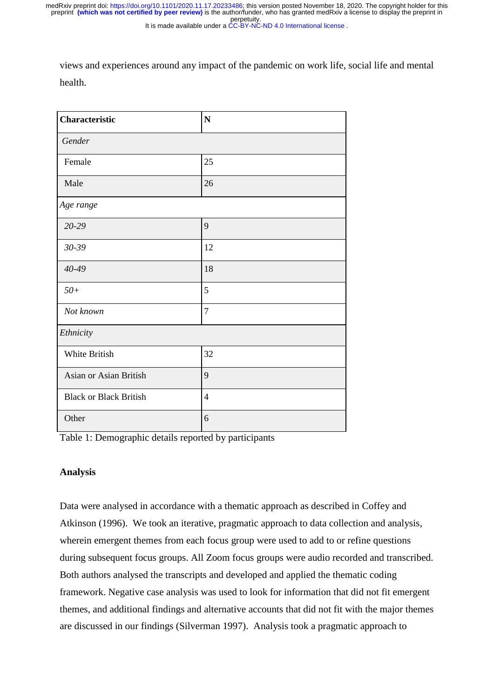perpetuity. medRxiv preprint doi: [https://doi.org/10.1101/2020.11.17.20233486;](https://doi.org/10.1101/2020.11.17.20233486) this version posted November 18, 2020. The copyright holder for this<br>preprint (which was not certified by peer review) is the author/funder, who has grante

It is made available under a [CC-BY-NC-ND 4.0 International license](http://creativecommons.org/licenses/by-nc-nd/4.0/) .

views and experiences around any impact of the pandemic on work life, social life and mental health.

| Characteristic                | ${\bf N}$      |
|-------------------------------|----------------|
| Gender                        |                |
| Female                        | 25             |
| Male                          | 26             |
| Age range                     |                |
| 20-29                         | 9              |
| 30-39                         | 12             |
| 40-49                         | 18             |
| $50+$                         | $\mathfrak{S}$ |
| Not known                     | $\tau$         |
| Ethnicity                     |                |
| White British                 | 32             |
| Asian or Asian British        | 9              |
| <b>Black or Black British</b> | $\overline{4}$ |
| Other                         | 6              |

Table 1: Demographic details reported by participants

# **Analysis**

Data were analysed in accordance with a thematic approach as described in Coffey and Atkinson (1996). We took an iterative, pragmatic approach to data collection and analysis, wherein emergent themes from each focus group were used to add to or refine questions during subsequent focus groups. All Zoom focus groups were audio recorded and transcribed. Both authors analysed the transcripts and developed and applied the thematic coding framework. Negative case analysis was used to look for information that did not fit emergent themes, and additional findings and alternative accounts that did not fit with the major themes are discussed in our findings (Silverman 1997). Analysis took a pragmatic approach to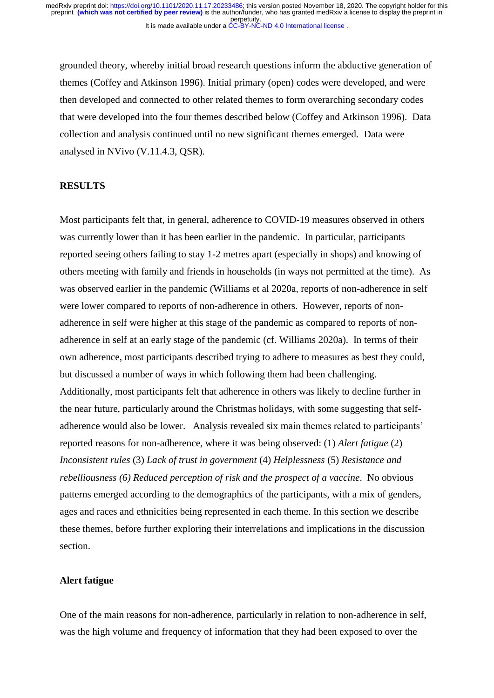grounded theory, whereby initial broad research questions inform the abductive generation of themes (Coffey and Atkinson 1996). Initial primary (open) codes were developed, and were then developed and connected to other related themes to form overarching secondary codes that were developed into the four themes described below (Coffey and Atkinson 1996). Data collection and analysis continued until no new significant themes emerged. Data were analysed in NVivo (V.11.4.3, QSR).

#### **RESULTS**

Most participants felt that, in general, adherence to COVID-19 measures observed in others was currently lower than it has been earlier in the pandemic. In particular, participants reported seeing others failing to stay 1-2 metres apart (especially in shops) and knowing of others meeting with family and friends in households (in ways not permitted at the time). As was observed earlier in the pandemic (Williams et al 2020a, reports of non-adherence in self were lower compared to reports of non-adherence in others. However, reports of nonadherence in self were higher at this stage of the pandemic as compared to reports of nonadherence in self at an early stage of the pandemic (cf. Williams 2020a). In terms of their own adherence, most participants described trying to adhere to measures as best they could, but discussed a number of ways in which following them had been challenging. Additionally, most participants felt that adherence in others was likely to decline further in the near future, particularly around the Christmas holidays, with some suggesting that selfadherence would also be lower. Analysis revealed six main themes related to participants' reported reasons for non-adherence, where it was being observed: (1) *Alert fatigue* (2) *Inconsistent rules* (3) *Lack of trust in government* (4) *Helplessness* (5) *Resistance and rebelliousness (6) Reduced perception of risk and the prospect of a vaccine*. No obvious patterns emerged according to the demographics of the participants, with a mix of genders, ages and races and ethnicities being represented in each theme. In this section we describe these themes, before further exploring their interrelations and implications in the discussion section.

# **Alert fatigue**

One of the main reasons for non-adherence, particularly in relation to non-adherence in self, was the high volume and frequency of information that they had been exposed to over the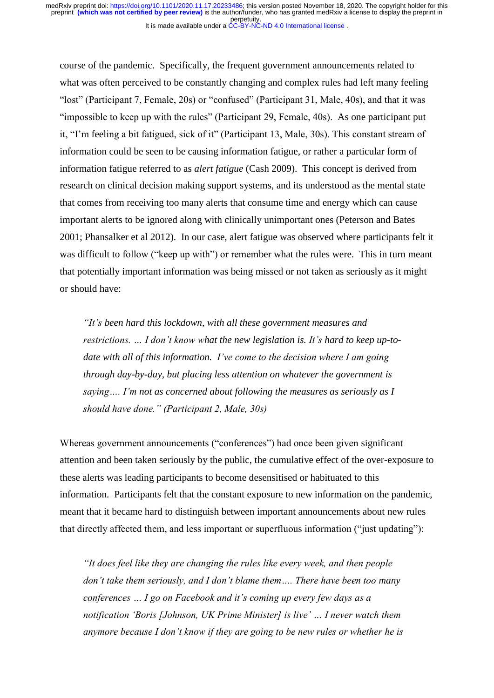course of the pandemic. Specifically, the frequent government announcements related to what was often perceived to be constantly changing and complex rules had left many feeling "lost" (Participant 7, Female, 20s) or "confused" (Participant 31, Male, 40s), and that it was "impossible to keep up with the rules" (Participant 29, Female, 40s). As one participant put it, "I'm feeling a bit fatigued, sick of it" (Participant 13, Male, 30s). This constant stream of information could be seen to be causing information fatigue, or rather a particular form of information fatigue referred to as *alert fatigue* (Cash 2009). This concept is derived from research on clinical decision making support systems, and its understood as the mental state that comes from receiving too many alerts that consume time and energy which can cause important alerts to be ignored along with clinically unimportant ones (Peterson and Bates 2001; Phansalker et al 2012). In our case, alert fatigue was observed where participants felt it was difficult to follow ("keep up with") or remember what the rules were. This in turn meant that potentially important information was being missed or not taken as seriously as it might or should have:

*"It's been hard this lockdown, with all these government measures and restrictions. … I don't know what the new legislation is. It's hard to keep up-todate with all of this information. I've come to the decision where I am going through day-by-day, but placing less attention on whatever the government is saying…. I'm not as concerned about following the measures as seriously as I should have done." (Participant 2, Male, 30s)* 

Whereas government announcements ("conferences") had once been given significant attention and been taken seriously by the public, the cumulative effect of the over-exposure to these alerts was leading participants to become desensitised or habituated to this information. Participants felt that the constant exposure to new information on the pandemic, meant that it became hard to distinguish between important announcements about new rules that directly affected them, and less important or superfluous information ("just updating"):

*"It does feel like they are changing the rules like every week, and then people don't take them seriously, and I don't blame them…. There have been too many conferences … I go on Facebook and it's coming up every few days as a notification 'Boris [Johnson, UK Prime Minister] is live' … I never watch them anymore because I don't know if they are going to be new rules or whether he is*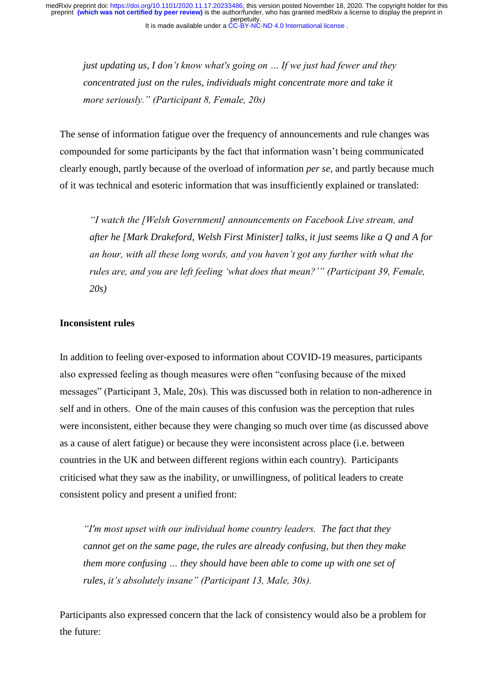*just updating us, I don't know what's going on … If we just had fewer and they concentrated just on the rules, individuals might concentrate more and take it more seriously." (Participant 8, Female, 20s)*

The sense of information fatigue over the frequency of announcements and rule changes was compounded for some participants by the fact that information wasn't being communicated clearly enough, partly because of the overload of information *per se,* and partly because much of it was technical and esoteric information that was insufficiently explained or translated:

*"I watch the [Welsh Government] announcements on Facebook Live stream, and after he [Mark Drakeford, Welsh First Minister] talks, it just seems like a Q and A for an hour, with all these long words, and you haven't got any further with what the rules are, and you are left feeling 'what does that mean?'" (Participant 39, Female, 20s)* 

# **Inconsistent rules**

In addition to feeling over-exposed to information about COVID-19 measures, participants also expressed feeling as though measures were often "confusing because of the mixed messages" (Participant 3, Male, 20s). This was discussed both in relation to non-adherence in self and in others. One of the main causes of this confusion was the perception that rules were inconsistent, either because they were changing so much over time (as discussed above as a cause of alert fatigue) or because they were inconsistent across place (i.e. between countries in the UK and between different regions within each country). Participants criticised what they saw as the inability, or unwillingness, of political leaders to create consistent policy and present a unified front:

*"I'm most upset with our individual home country leaders. The fact that they cannot get on the same page, the rules are already confusing, but then they make them more confusing … they should have been able to come up with one set of rules, it's absolutely insane" (Participant 13, Male, 30s).*

Participants also expressed concern that the lack of consistency would also be a problem for the future: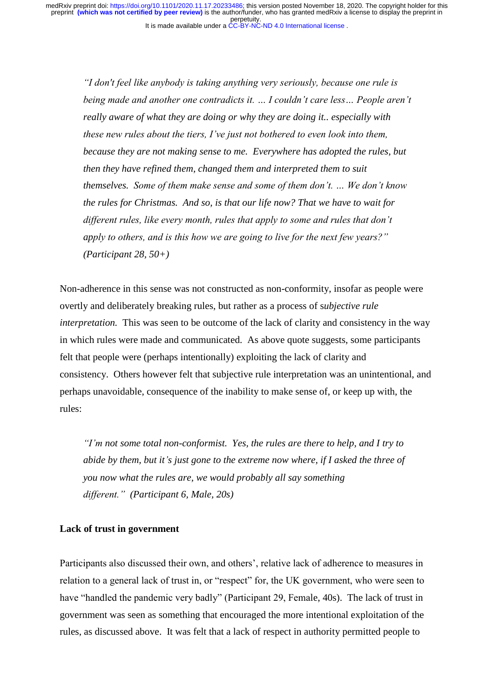*"I don't feel like anybody is taking anything very seriously, because one rule is being made and another one contradicts it. … I couldn't care less… People aren't really aware of what they are doing or why they are doing it.. especially with these new rules about the tiers, I've just not bothered to even look into them, because they are not making sense to me. Everywhere has adopted the rules, but then they have refined them, changed them and interpreted them to suit themselves. Some of them make sense and some of them don't. … We don't know the rules for Christmas. And so, is that our life now? That we have to wait for different rules, like every month, rules that apply to some and rules that don't apply to others, and is this how we are going to live for the next few years?" (Participant 28, 50+)*

Non-adherence in this sense was not constructed as non-conformity, insofar as people were overtly and deliberately breaking rules, but rather as a process of s*ubjective rule interpretation.* This was seen to be outcome of the lack of clarity and consistency in the way in which rules were made and communicated. As above quote suggests, some participants felt that people were (perhaps intentionally) exploiting the lack of clarity and consistency. Others however felt that subjective rule interpretation was an unintentional, and perhaps unavoidable, consequence of the inability to make sense of, or keep up with, the rules:

*"I'm not some total non-conformist. Yes, the rules are there to help, and I try to abide by them, but it's just gone to the extreme now where, if I asked the three of you now what the rules are, we would probably all say something different." (Participant 6, Male, 20s)*

#### **Lack of trust in government**

Participants also discussed their own, and others', relative lack of adherence to measures in relation to a general lack of trust in, or "respect" for, the UK government, who were seen to have "handled the pandemic very badly" (Participant 29, Female, 40s). The lack of trust in government was seen as something that encouraged the more intentional exploitation of the rules, as discussed above. It was felt that a lack of respect in authority permitted people to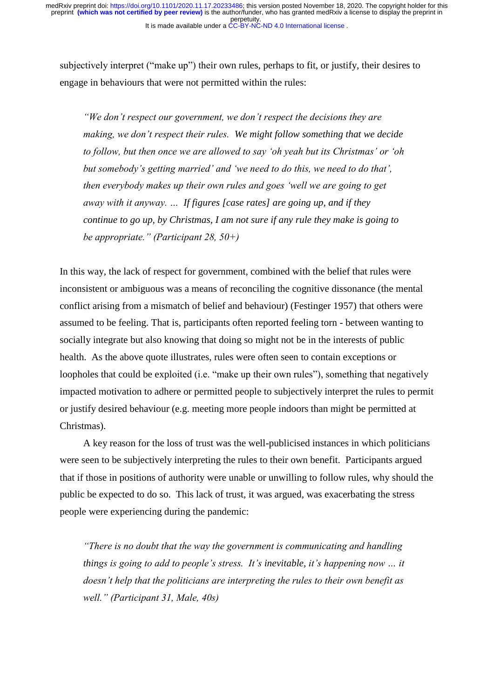subjectively interpret ("make up") their own rules, perhaps to fit, or justify, their desires to engage in behaviours that were not permitted within the rules:

*"We don't respect our government, we don't respect the decisions they are making, we don't respect their rules. We might follow something that we decide to follow, but then once we are allowed to say 'oh yeah but its Christmas' or 'oh but somebody's getting married' and 'we need to do this, we need to do that', then everybody makes up their own rules and goes 'well we are going to get away with it anyway. … If figures [case rates] are going up, and if they continue to go up, by Christmas, I am not sure if any rule they make is going to be appropriate." (Participant 28, 50+)*

In this way, the lack of respect for government, combined with the belief that rules were inconsistent or ambiguous was a means of reconciling the cognitive dissonance (the mental conflict arising from a mismatch of belief and behaviour) (Festinger 1957) that others were assumed to be feeling. That is, participants often reported feeling torn - between wanting to socially integrate but also knowing that doing so might not be in the interests of public health. As the above quote illustrates, rules were often seen to contain exceptions or loopholes that could be exploited (i.e. "make up their own rules"), something that negatively impacted motivation to adhere or permitted people to subjectively interpret the rules to permit or justify desired behaviour (e.g. meeting more people indoors than might be permitted at Christmas).

A key reason for the loss of trust was the well-publicised instances in which politicians were seen to be subjectively interpreting the rules to their own benefit. Participants argued that if those in positions of authority were unable or unwilling to follow rules, why should the public be expected to do so. This lack of trust, it was argued, was exacerbating the stress people were experiencing during the pandemic:

*"There is no doubt that the way the government is communicating and handling things is going to add to people's stress. It's inevitable, it's happening now … it doesn't help that the politicians are interpreting the rules to their own benefit as well." (Participant 31, Male, 40s)*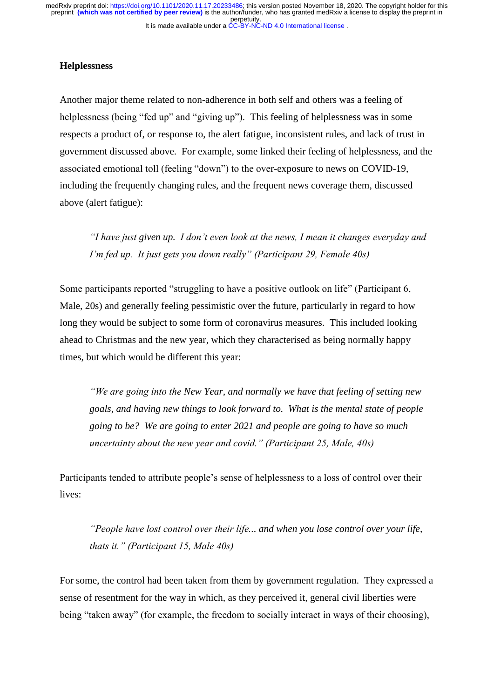# **Helplessness**

Another major theme related to non-adherence in both self and others was a feeling of helplessness (being "fed up" and "giving up"). This feeling of helplessness was in some respects a product of, or response to, the alert fatigue, inconsistent rules, and lack of trust in government discussed above. For example, some linked their feeling of helplessness, and the associated emotional toll (feeling "down") to the over-exposure to news on COVID-19, including the frequently changing rules, and the frequent news coverage them, discussed above (alert fatigue):

*"I have just given up. I don't even look at the news, I mean it changes everyday and I'm fed up. It just gets you down really" (Participant 29, Female 40s)*

Some participants reported "struggling to have a positive outlook on life" (Participant 6, Male, 20s) and generally feeling pessimistic over the future, particularly in regard to how long they would be subject to some form of coronavirus measures. This included looking ahead to Christmas and the new year, which they characterised as being normally happy times, but which would be different this year:

*"We are going into the New Year, and normally we have that feeling of setting new goals, and having new things to look forward to. What is the mental state of people going to be? We are going to enter 2021 and people are going to have so much uncertainty about the new year and covid." (Participant 25, Male, 40s)*

Participants tended to attribute people's sense of helplessness to a loss of control over their lives:

*"People have lost control over their life... and when you lose control over your life, thats it." (Participant 15, Male 40s)*

For some, the control had been taken from them by government regulation. They expressed a sense of resentment for the way in which, as they perceived it, general civil liberties were being "taken away" (for example, the freedom to socially interact in ways of their choosing),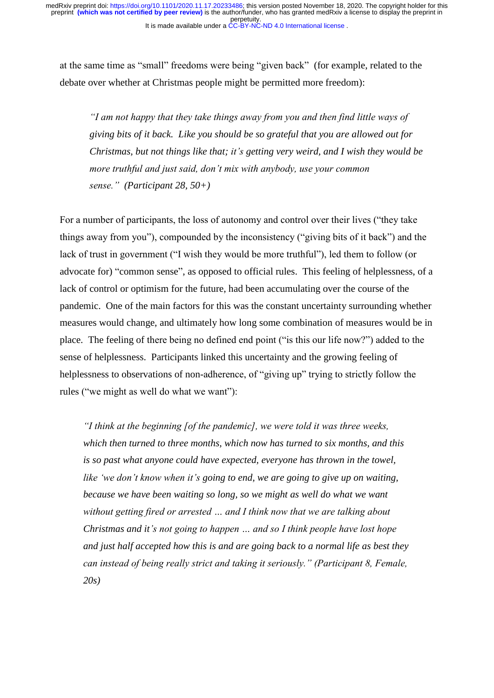at the same time as "small" freedoms were being "given back" (for example, related to the debate over whether at Christmas people might be permitted more freedom):

*"I am not happy that they take things away from you and then find little ways of giving bits of it back. Like you should be so grateful that you are allowed out for Christmas, but not things like that; it's getting very weird, and I wish they would be more truthful and just said, don't mix with anybody, use your common sense." (Participant 28, 50+)* 

For a number of participants, the loss of autonomy and control over their lives ("they take things away from you"), compounded by the inconsistency ("giving bits of it back") and the lack of trust in government ("I wish they would be more truthful"), led them to follow (or advocate for) "common sense", as opposed to official rules. This feeling of helplessness, of a lack of control or optimism for the future, had been accumulating over the course of the pandemic. One of the main factors for this was the constant uncertainty surrounding whether measures would change, and ultimately how long some combination of measures would be in place. The feeling of there being no defined end point ("is this our life now?") added to the sense of helplessness. Participants linked this uncertainty and the growing feeling of helplessness to observations of non-adherence, of "giving up" trying to strictly follow the rules ("we might as well do what we want"):

*"I think at the beginning [of the pandemic], we were told it was three weeks, which then turned to three months, which now has turned to six months, and this is so past what anyone could have expected, everyone has thrown in the towel, like 'we don't know when it's going to end, we are going to give up on waiting, because we have been waiting so long, so we might as well do what we want without getting fired or arrested … and I think now that we are talking about Christmas and it's not going to happen … and so I think people have lost hope and just half accepted how this is and are going back to a normal life as best they can instead of being really strict and taking it seriously." (Participant 8, Female, 20s)*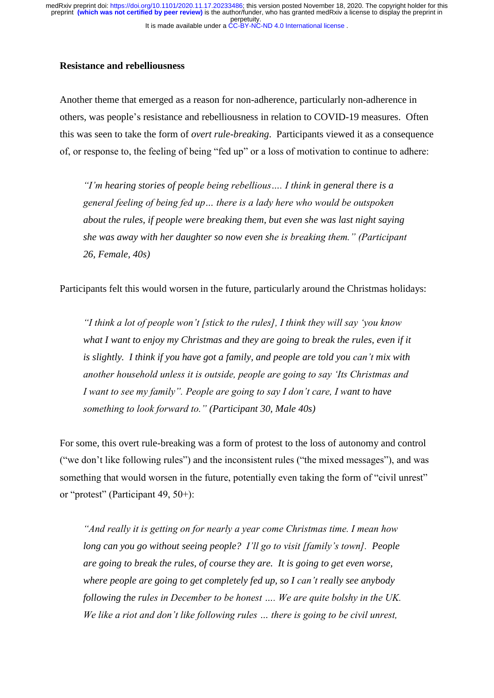It is made available under a [CC-BY-NC-ND 4.0 International license](http://creativecommons.org/licenses/by-nc-nd/4.0/) . perpetuity. preprint **(which was not certified by peer review)** is the author/funder, who has granted medRxiv a license to display the preprint in medRxiv preprint doi: [https://doi.org/10.1101/2020.11.17.20233486;](https://doi.org/10.1101/2020.11.17.20233486) this version posted November 18, 2020. The copyright holder for this

# **Resistance and rebelliousness**

Another theme that emerged as a reason for non-adherence, particularly non-adherence in others, was people's resistance and rebelliousness in relation to COVID-19 measures. Often this was seen to take the form of *overt rule-breaking*. Participants viewed it as a consequence of, or response to, the feeling of being "fed up" or a loss of motivation to continue to adhere:

*"I'm hearing stories of people being rebellious…. I think in general there is a general feeling of being fed up… there is a lady here who would be outspoken about the rules, if people were breaking them, but even she was last night saying she was away with her daughter so now even she is breaking them." (Participant 26, Female, 40s)* 

Participants felt this would worsen in the future, particularly around the Christmas holidays:

*"I think a lot of people won't [stick to the rules], I think they will say 'you know what I want to enjoy my Christmas and they are going to break the rules, even if it is slightly. I think if you have got a family, and people are told you can't mix with another household unless it is outside, people are going to say 'Its Christmas and I want to see my family". People are going to say I don't care, I want to have something to look forward to." (Participant 30, Male 40s)* 

For some, this overt rule-breaking was a form of protest to the loss of autonomy and control ("we don't like following rules") and the inconsistent rules ("the mixed messages"), and was something that would worsen in the future, potentially even taking the form of "civil unrest" or "protest" (Participant 49, 50+):

*"And really it is getting on for nearly a year come Christmas time. I mean how long can you go without seeing people? I'll go to visit [family's town]. People are going to break the rules, of course they are. It is going to get even worse, where people are going to get completely fed up, so I can't really see anybody following the rules in December to be honest …. We are quite bolshy in the UK. We like a riot and don't like following rules … there is going to be civil unrest,*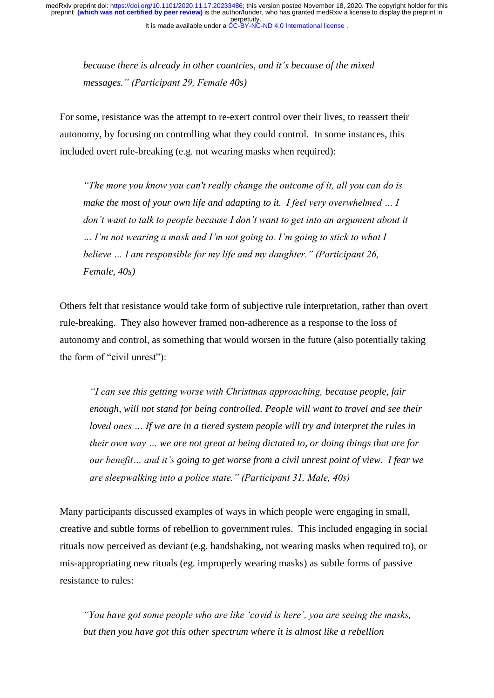*because there is already in other countries, and it's because of the mixed messages." (Participant 29, Female 40s)* 

For some, resistance was the attempt to re-exert control over their lives, to reassert their autonomy, by focusing on controlling what they could control. In some instances, this included overt rule-breaking (e.g. not wearing masks when required):

*"The more you know you can't really change the outcome of it, all you can do is make the most of your own life and adapting to it. I feel very overwhelmed ... I don't want to talk to people because I don't want to get into an argument about it … I'm not wearing a mask and I'm not going to. I'm going to stick to what I believe … I am responsible for my life and my daughter." (Participant 26, Female, 40s)* 

Others felt that resistance would take form of subjective rule interpretation, rather than overt rule-breaking. They also however framed non-adherence as a response to the loss of autonomy and control, as something that would worsen in the future (also potentially taking the form of "civil unrest"):

*"I can see this getting worse with Christmas approaching, because people, fair enough, will not stand for being controlled. People will want to travel and see their loved ones … If we are in a tiered system people will try and interpret the rules in their own way … we are not great at being dictated to, or doing things that are for our benefit… and it's going to get worse from a civil unrest point of view. I fear we are sleepwalking into a police state." (Participant 31, Male, 40s)*

Many participants discussed examples of ways in which people were engaging in small, creative and subtle forms of rebellion to government rules. This included engaging in social rituals now perceived as deviant (e.g. handshaking, not wearing masks when required to), or mis-appropriating new rituals (eg. improperly wearing masks) as subtle forms of passive resistance to rules:

*"You have got some people who are like 'covid is here', you are seeing the masks, but then you have got this other spectrum where it is almost like a rebellion*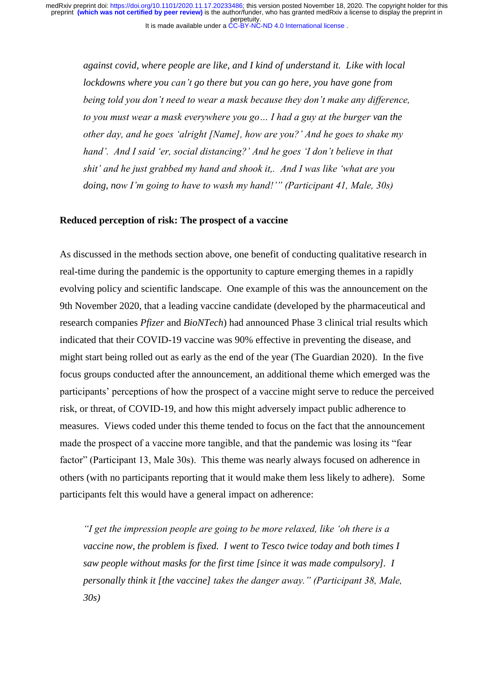*against covid, where people are like, and I kind of understand it. Like with local lockdowns where you can't go there but you can go here, you have gone from being told you don't need to wear a mask because they don't make any difference, to you must wear a mask everywhere you go… I had a guy at the burger van the other day, and he goes 'alright [Name], how are you?' And he goes to shake my hand'. And I said 'er, social distancing?' And he goes 'I don't believe in that shit' and he just grabbed my hand and shook it,. And I was like 'what are you doing, now I'm going to have to wash my hand!'" (Participant 41, Male, 30s)*

## **Reduced perception of risk: The prospect of a vaccine**

As discussed in the methods section above, one benefit of conducting qualitative research in real-time during the pandemic is the opportunity to capture emerging themes in a rapidly evolving policy and scientific landscape. One example of this was the announcement on the 9th November 2020, that a leading vaccine candidate (developed by the pharmaceutical and research companies *Pfizer* and *BioNTech*) had announced Phase 3 clinical trial results which indicated that their COVID-19 vaccine was 90% effective in preventing the disease, and might start being rolled out as early as the end of the year (The Guardian 2020). In the five focus groups conducted after the announcement, an additional theme which emerged was the participants' perceptions of how the prospect of a vaccine might serve to reduce the perceived risk, or threat, of COVID-19, and how this might adversely impact public adherence to measures. Views coded under this theme tended to focus on the fact that the announcement made the prospect of a vaccine more tangible, and that the pandemic was losing its "fear factor" (Participant 13, Male 30s). This theme was nearly always focused on adherence in others (with no participants reporting that it would make them less likely to adhere). Some participants felt this would have a general impact on adherence:

*"I get the impression people are going to be more relaxed, like 'oh there is a vaccine now, the problem is fixed. I went to Tesco twice today and both times I saw people without masks for the first time [since it was made compulsory]. I personally think it [the vaccine] takes the danger away." (Participant 38, Male, 30s)*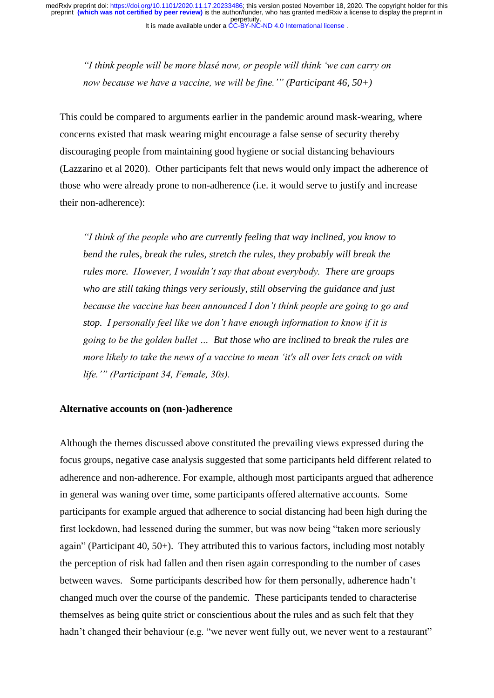*"I think people will be more blasé now, or people will think 'we can carry on now because we have a vaccine, we will be fine.'" (Participant 46, 50+)* 

This could be compared to arguments earlier in the pandemic around mask-wearing, where concerns existed that mask wearing might encourage a false sense of security thereby discouraging people from maintaining good hygiene or social distancing behaviours (Lazzarino et al 2020). Other participants felt that news would only impact the adherence of those who were already prone to non-adherence (i.e. it would serve to justify and increase their non-adherence):

*"I think of the people who are currently feeling that way inclined, you know to bend the rules, break the rules, stretch the rules, they probably will break the rules more. However, I wouldn't say that about everybody. There are groups who are still taking things very seriously, still observing the guidance and just because the vaccine has been announced I don't think people are going to go and stop. I personally feel like we don't have enough information to know if it is going to be the golden bullet … But those who are inclined to break the rules are more likely to take the news of a vaccine to mean 'it's all over lets crack on with life.'" (Participant 34, Female, 30s).*

## **Alternative accounts on (non-)adherence**

Although the themes discussed above constituted the prevailing views expressed during the focus groups, negative case analysis suggested that some participants held different related to adherence and non-adherence. For example, although most participants argued that adherence in general was waning over time, some participants offered alternative accounts. Some participants for example argued that adherence to social distancing had been high during the first lockdown, had lessened during the summer, but was now being "taken more seriously again" (Participant 40, 50+). They attributed this to various factors, including most notably the perception of risk had fallen and then risen again corresponding to the number of cases between waves. Some participants described how for them personally, adherence hadn't changed much over the course of the pandemic. These participants tended to characterise themselves as being quite strict or conscientious about the rules and as such felt that they hadn't changed their behaviour (e.g. "we never went fully out, we never went to a restaurant"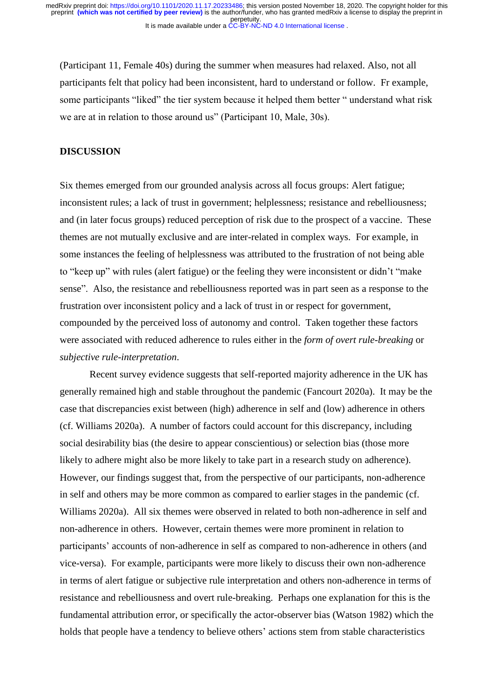(Participant 11, Female 40s) during the summer when measures had relaxed. Also, not all participants felt that policy had been inconsistent, hard to understand or follow. Fr example, some participants "liked" the tier system because it helped them better " understand what risk we are at in relation to those around us" (Participant 10, Male, 30s).

#### **DISCUSSION**

Six themes emerged from our grounded analysis across all focus groups: Alert fatigue; inconsistent rules; a lack of trust in government; helplessness; resistance and rebelliousness; and (in later focus groups) reduced perception of risk due to the prospect of a vaccine. These themes are not mutually exclusive and are inter-related in complex ways. For example, in some instances the feeling of helplessness was attributed to the frustration of not being able to "keep up" with rules (alert fatigue) or the feeling they were inconsistent or didn't "make sense". Also, the resistance and rebelliousness reported was in part seen as a response to the frustration over inconsistent policy and a lack of trust in or respect for government, compounded by the perceived loss of autonomy and control. Taken together these factors were associated with reduced adherence to rules either in the *form of overt rule-breaking* or *subjective rule-interpretation*.

Recent survey evidence suggests that self-reported majority adherence in the UK has generally remained high and stable throughout the pandemic (Fancourt 2020a). It may be the case that discrepancies exist between (high) adherence in self and (low) adherence in others (cf. Williams 2020a). A number of factors could account for this discrepancy, including social desirability bias (the desire to appear conscientious) or selection bias (those more likely to adhere might also be more likely to take part in a research study on adherence). However, our findings suggest that, from the perspective of our participants, non-adherence in self and others may be more common as compared to earlier stages in the pandemic (cf. Williams 2020a). All six themes were observed in related to both non-adherence in self and non-adherence in others. However, certain themes were more prominent in relation to participants' accounts of non-adherence in self as compared to non-adherence in others (and vice-versa). For example, participants were more likely to discuss their own non-adherence in terms of alert fatigue or subjective rule interpretation and others non-adherence in terms of resistance and rebelliousness and overt rule-breaking. Perhaps one explanation for this is the fundamental attribution error, or specifically the actor-observer bias (Watson 1982) which the holds that people have a tendency to believe others' actions stem from stable characteristics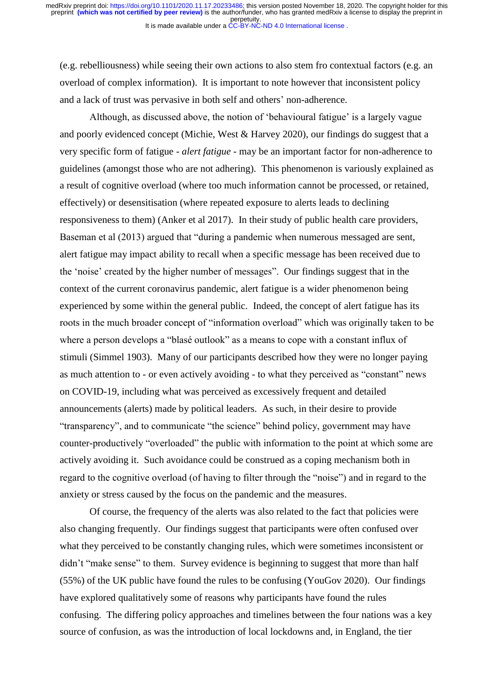(e.g. rebelliousness) while seeing their own actions to also stem fro contextual factors (e.g. an overload of complex information). It is important to note however that inconsistent policy and a lack of trust was pervasive in both self and others' non-adherence.

Although, as discussed above, the notion of 'behavioural fatigue' is a largely vague and poorly evidenced concept (Michie, West & Harvey 2020), our findings do suggest that a very specific form of fatigue - *alert fatigue* - may be an important factor for non-adherence to guidelines (amongst those who are not adhering). This phenomenon is variously explained as a result of cognitive overload (where too much information cannot be processed, or retained, effectively) or desensitisation (where repeated exposure to alerts leads to declining responsiveness to them) (Anker et al 2017). In their study of public health care providers, Baseman et al (2013) argued that "during a pandemic when numerous messaged are sent, alert fatigue may impact ability to recall when a specific message has been received due to the 'noise' created by the higher number of messages". Our findings suggest that in the context of the current coronavirus pandemic, alert fatigue is a wider phenomenon being experienced by some within the general public. Indeed, the concept of alert fatigue has its roots in the much broader concept of "information overload" which was originally taken to be where a person develops a "blasé outlook" as a means to cope with a constant influx of stimuli (Simmel 1903). Many of our participants described how they were no longer paying as much attention to - or even actively avoiding - to what they perceived as "constant" news on COVID-19, including what was perceived as excessively frequent and detailed announcements (alerts) made by political leaders. As such, in their desire to provide "transparency", and to communicate "the science" behind policy, government may have counter-productively "overloaded" the public with information to the point at which some are actively avoiding it. Such avoidance could be construed as a coping mechanism both in regard to the cognitive overload (of having to filter through the "noise") and in regard to the anxiety or stress caused by the focus on the pandemic and the measures.

Of course, the frequency of the alerts was also related to the fact that policies were also changing frequently. Our findings suggest that participants were often confused over what they perceived to be constantly changing rules, which were sometimes inconsistent or didn't "make sense" to them. Survey evidence is beginning to suggest that more than half (55%) of the UK public have found the rules to be confusing (YouGov 2020). Our findings have explored qualitatively some of reasons why participants have found the rules confusing. The differing policy approaches and timelines between the four nations was a key source of confusion, as was the introduction of local lockdowns and, in England, the tier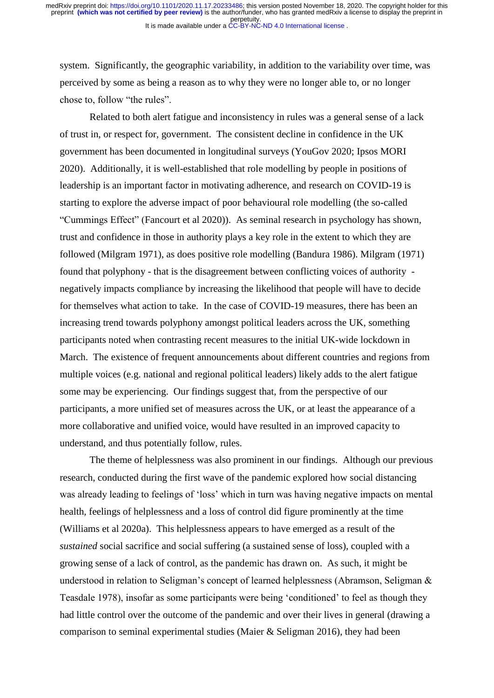system. Significantly, the geographic variability, in addition to the variability over time, was perceived by some as being a reason as to why they were no longer able to, or no longer chose to, follow "the rules".

Related to both alert fatigue and inconsistency in rules was a general sense of a lack of trust in, or respect for, government. The consistent decline in confidence in the UK government has been documented in longitudinal surveys (YouGov 2020; Ipsos MORI 2020). Additionally, it is well-established that role modelling by people in positions of leadership is an important factor in motivating adherence, and research on COVID-19 is starting to explore the adverse impact of poor behavioural role modelling (the so-called "Cummings Effect" (Fancourt et al 2020)). As seminal research in psychology has shown, trust and confidence in those in authority plays a key role in the extent to which they are followed (Milgram 1971), as does positive role modelling (Bandura 1986). Milgram (1971) found that polyphony - that is the disagreement between conflicting voices of authority negatively impacts compliance by increasing the likelihood that people will have to decide for themselves what action to take. In the case of COVID-19 measures, there has been an increasing trend towards polyphony amongst political leaders across the UK, something participants noted when contrasting recent measures to the initial UK-wide lockdown in March. The existence of frequent announcements about different countries and regions from multiple voices (e.g. national and regional political leaders) likely adds to the alert fatigue some may be experiencing. Our findings suggest that, from the perspective of our participants, a more unified set of measures across the UK, or at least the appearance of a more collaborative and unified voice, would have resulted in an improved capacity to understand, and thus potentially follow, rules.

The theme of helplessness was also prominent in our findings. Although our previous research, conducted during the first wave of the pandemic explored how social distancing was already leading to feelings of 'loss' which in turn was having negative impacts on mental health, feelings of helplessness and a loss of control did figure prominently at the time (Williams et al 2020a). This helplessness appears to have emerged as a result of the *sustained* social sacrifice and social suffering (a sustained sense of loss), coupled with a growing sense of a lack of control, as the pandemic has drawn on. As such, it might be understood in relation to Seligman's concept of learned helplessness (Abramson, Seligman & Teasdale 1978), insofar as some participants were being 'conditioned' to feel as though they had little control over the outcome of the pandemic and over their lives in general (drawing a comparison to seminal experimental studies (Maier & Seligman 2016), they had been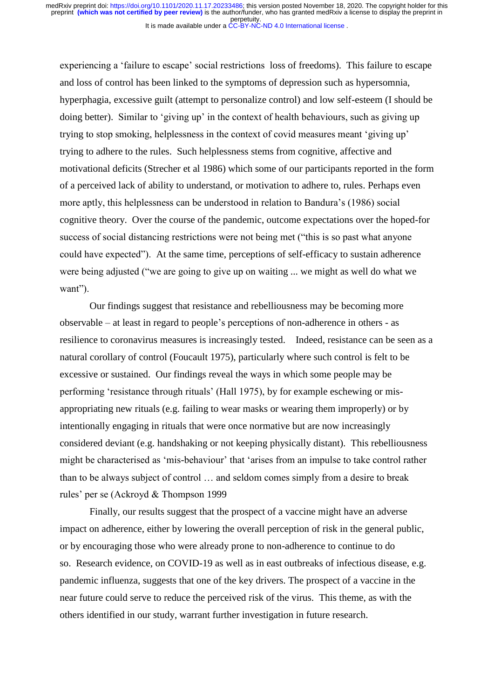experiencing a 'failure to escape' social restrictions loss of freedoms). This failure to escape and loss of control has been linked to the symptoms of depression such as hypersomnia, hyperphagia, excessive guilt (attempt to personalize control) and low self-esteem (I should be doing better). Similar to 'giving up' in the context of health behaviours, such as giving up trying to stop smoking, helplessness in the context of covid measures meant 'giving up' trying to adhere to the rules. Such helplessness stems from cognitive, affective and motivational deficits (Strecher et al 1986) which some of our participants reported in the form of a perceived lack of ability to understand, or motivation to adhere to, rules. Perhaps even more aptly, this helplessness can be understood in relation to Bandura's (1986) social cognitive theory. Over the course of the pandemic, outcome expectations over the hoped-for success of social distancing restrictions were not being met ("this is so past what anyone could have expected"). At the same time, perceptions of self-efficacy to sustain adherence were being adjusted ("we are going to give up on waiting ... we might as well do what we want").

Our findings suggest that resistance and rebelliousness may be becoming more observable – at least in regard to people's perceptions of non-adherence in others - as resilience to coronavirus measures is increasingly tested. Indeed, resistance can be seen as a natural corollary of control (Foucault 1975), particularly where such control is felt to be excessive or sustained. Our findings reveal the ways in which some people may be performing 'resistance through rituals' (Hall 1975), by for example eschewing or misappropriating new rituals (e.g. failing to wear masks or wearing them improperly) or by intentionally engaging in rituals that were once normative but are now increasingly considered deviant (e.g. handshaking or not keeping physically distant). This rebelliousness might be characterised as 'mis-behaviour' that 'arises from an impulse to take control rather than to be always subject of control … and seldom comes simply from a desire to break rules' per se (Ackroyd & Thompson 1999

Finally, our results suggest that the prospect of a vaccine might have an adverse impact on adherence, either by lowering the overall perception of risk in the general public, or by encouraging those who were already prone to non-adherence to continue to do so. Research evidence, on COVID-19 as well as in east outbreaks of infectious disease, e.g. pandemic influenza, suggests that one of the key drivers. The prospect of a vaccine in the near future could serve to reduce the perceived risk of the virus. This theme, as with the others identified in our study, warrant further investigation in future research.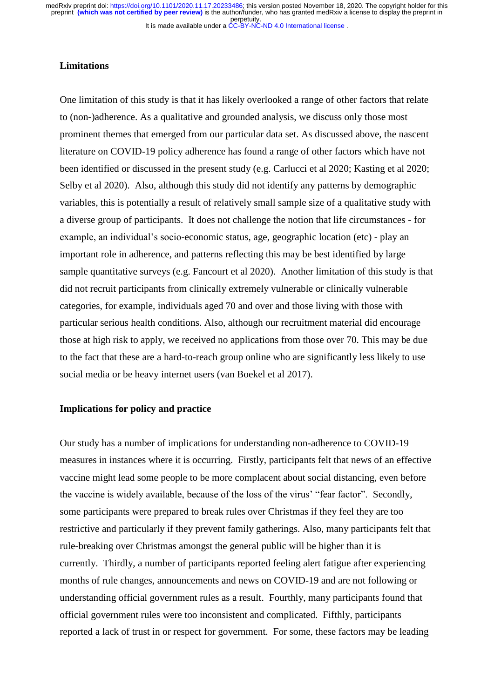# **Limitations**

One limitation of this study is that it has likely overlooked a range of other factors that relate to (non-)adherence. As a qualitative and grounded analysis, we discuss only those most prominent themes that emerged from our particular data set. As discussed above, the nascent literature on COVID-19 policy adherence has found a range of other factors which have not been identified or discussed in the present study (e.g. Carlucci et al 2020; Kasting et al 2020; Selby et al 2020). Also, although this study did not identify any patterns by demographic variables, this is potentially a result of relatively small sample size of a qualitative study with a diverse group of participants. It does not challenge the notion that life circumstances - for example, an individual's socio-economic status, age, geographic location (etc) - play an important role in adherence, and patterns reflecting this may be best identified by large sample quantitative surveys (e.g. Fancourt et al 2020). Another limitation of this study is that did not recruit participants from clinically extremely vulnerable or clinically vulnerable categories, for example, individuals aged 70 and over and those living with those with particular serious health conditions. Also, although our recruitment material did encourage those at high risk to apply, we received no applications from those over 70. This may be due to the fact that these are a hard-to-reach group online who are significantly less likely to use social media or be heavy internet users (van Boekel et al 2017).

# **Implications for policy and practice**

Our study has a number of implications for understanding non-adherence to COVID-19 measures in instances where it is occurring. Firstly, participants felt that news of an effective vaccine might lead some people to be more complacent about social distancing, even before the vaccine is widely available, because of the loss of the virus' "fear factor". Secondly, some participants were prepared to break rules over Christmas if they feel they are too restrictive and particularly if they prevent family gatherings. Also, many participants felt that rule-breaking over Christmas amongst the general public will be higher than it is currently. Thirdly, a number of participants reported feeling alert fatigue after experiencing months of rule changes, announcements and news on COVID-19 and are not following or understanding official government rules as a result. Fourthly, many participants found that official government rules were too inconsistent and complicated. Fifthly, participants reported a lack of trust in or respect for government. For some, these factors may be leading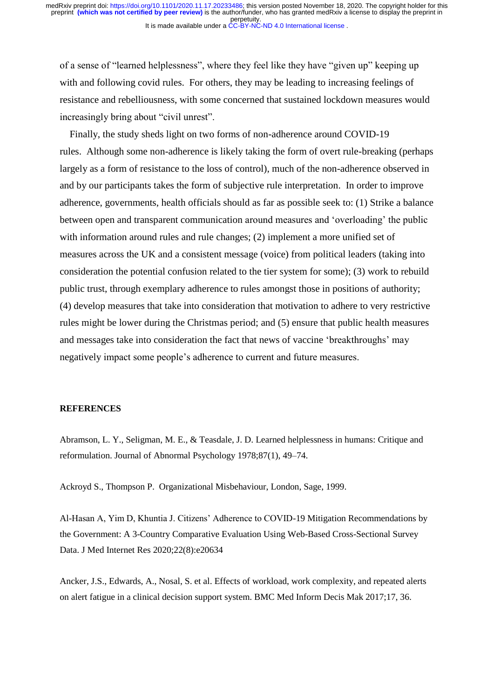of a sense of "learned helplessness", where they feel like they have "given up" keeping up with and following covid rules. For others, they may be leading to increasing feelings of resistance and rebelliousness, with some concerned that sustained lockdown measures would increasingly bring about "civil unrest".

Finally, the study sheds light on two forms of non-adherence around COVID-19 rules. Although some non-adherence is likely taking the form of overt rule-breaking (perhaps largely as a form of resistance to the loss of control), much of the non-adherence observed in and by our participants takes the form of subjective rule interpretation. In order to improve adherence, governments, health officials should as far as possible seek to: (1) Strike a balance between open and transparent communication around measures and 'overloading' the public with information around rules and rule changes; (2) implement a more unified set of measures across the UK and a consistent message (voice) from political leaders (taking into consideration the potential confusion related to the tier system for some); (3) work to rebuild public trust, through exemplary adherence to rules amongst those in positions of authority; (4) develop measures that take into consideration that motivation to adhere to very restrictive rules might be lower during the Christmas period; and (5) ensure that public health measures and messages take into consideration the fact that news of vaccine 'breakthroughs' may negatively impact some people's adherence to current and future measures.

#### **REFERENCES**

Abramson, L. Y., Seligman, M. E., & Teasdale, J. D. Learned helplessness in humans: Critique and reformulation. Journal of Abnormal Psychology 1978;87(1), 49–74.

Ackroyd S., Thompson P. Organizational Misbehaviour, London, Sage, 1999.

Al-Hasan A, Yim D, Khuntia J. Citizens' Adherence to COVID-19 Mitigation Recommendations by the Government: A 3-Country Comparative Evaluation Using Web-Based Cross-Sectional Survey Data. J Med Internet Res 2020;22(8):e20634

Ancker, J.S., Edwards, A., Nosal, S. et al. Effects of workload, work complexity, and repeated alerts on alert fatigue in a clinical decision support system. BMC Med Inform Decis Mak 2017;17, 36.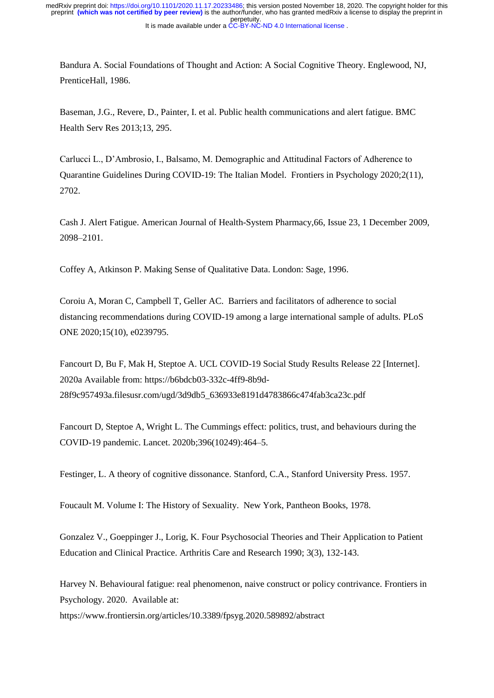It is made available under a [CC-BY-NC-ND 4.0 International license](http://creativecommons.org/licenses/by-nc-nd/4.0/) . perpetuity. preprint **(which was not certified by peer review)** is the author/funder, who has granted medRxiv a license to display the preprint in medRxiv preprint doi: [https://doi.org/10.1101/2020.11.17.20233486;](https://doi.org/10.1101/2020.11.17.20233486) this version posted November 18, 2020. The copyright holder for this

Bandura A. Social Foundations of Thought and Action: A Social Cognitive Theory. Englewood, NJ, PrenticeHall, 1986.

Baseman, J.G., Revere, D., Painter, I. et al. Public health communications and alert fatigue. BMC Health Serv Res 2013;13, 295.

Carlucci L., D'Ambrosio, I., Balsamo, M. Demographic and Attitudinal Factors of Adherence to Quarantine Guidelines During COVID-19: The Italian Model. Frontiers in Psychology 2020;2(11), 2702.

Cash J. Alert Fatigue. American Journal of Health-System Pharmacy,66, Issue 23, 1 December 2009, 2098–2101.

Coffey A, Atkinson P. Making Sense of Qualitative Data. London: Sage, 1996.

Coroiu A, Moran C, Campbell T, Geller AC. Barriers and facilitators of adherence to social distancing recommendations during COVID-19 among a large international sample of adults. PLoS ONE 2020;15(10), e0239795.

Fancourt D, Bu F, Mak H, Steptoe A. UCL COVID-19 Social Study Results Release 22 [Internet]. 2020a Available from: https://b6bdcb03-332c-4ff9-8b9d-28f9c957493a.filesusr.com/ugd/3d9db5\_636933e8191d4783866c474fab3ca23c.pdf

Fancourt D, Steptoe A, Wright L. The Cummings effect: politics, trust, and behaviours during the COVID-19 pandemic. Lancet. 2020b;396(10249):464–5.

Festinger, L. A theory of cognitive dissonance. Stanford, C.A., Stanford University Press. 1957.

Foucault M. Volume I: The History of Sexuality. New York, Pantheon Books, 1978.

Gonzalez V., Goeppinger J., Lorig, K. Four Psychosocial Theories and Their Application to Patient Education and Clinical Practice. Arthritis Care and Research 1990; 3(3), 132-143.

Harvey N. Behavioural fatigue: real phenomenon, naive construct or policy contrivance. Frontiers in Psychology. 2020. Available at:

https://www.frontiersin.org/articles/10.3389/fpsyg.2020.589892/abstract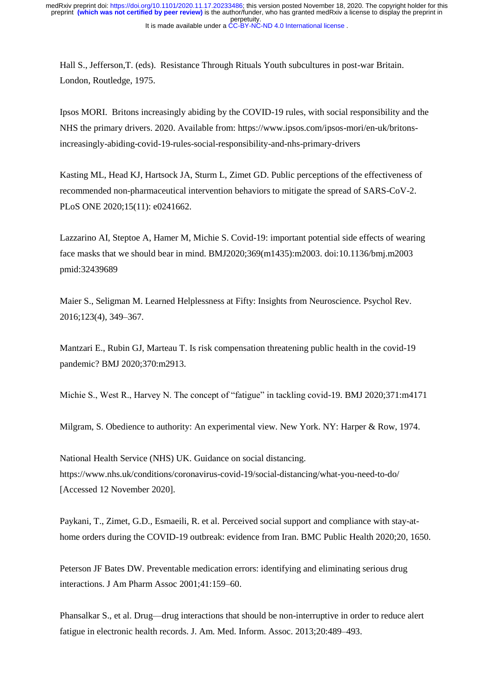Hall S., Jefferson,T. (eds). Resistance Through Rituals Youth subcultures in post-war Britain. London, Routledge, 1975.

Ipsos MORI. Britons increasingly abiding by the COVID-19 rules, with social responsibility and the NHS the primary drivers. 2020. Available from: https://www.ipsos.com/ipsos-mori/en-uk/britonsincreasingly-abiding-covid-19-rules-social-responsibility-and-nhs-primary-drivers

Kasting ML, Head KJ, Hartsock JA, Sturm L, Zimet GD. Public perceptions of the effectiveness of recommended non-pharmaceutical intervention behaviors to mitigate the spread of SARS-CoV-2. PLoS ONE 2020;15(11): e0241662.

Lazzarino AI, Steptoe A, Hamer M, Michie S. Covid-19: important potential side effects of wearing face masks that we should bear in mind. BMJ2020;369(m1435):m2003. doi:10.1136/bmj.m2003 pmid:32439689

Maier S., Seligman M. Learned Helplessness at Fifty: Insights from Neuroscience. Psychol Rev. 2016;123(4), 349–367.

Mantzari E., Rubin GJ, Marteau T. Is risk compensation threatening public health in the covid-19 pandemic? BMJ 2020;370:m2913.

Michie S., West R., Harvey N. The concept of "fatigue" in tackling covid-19. BMJ 2020;371:m4171

Milgram, S. Obedience to authority: An experimental view. New York. NY: Harper & Row, 1974.

National Health Service (NHS) UK. Guidance on social distancing. https://www.nhs.uk/conditions/coronavirus-covid-19/social-distancing/what-you-need-to-do/ [Accessed 12 November 2020].

Paykani, T., Zimet, G.D., Esmaeili, R. et al. Perceived social support and compliance with stay-athome orders during the COVID-19 outbreak: evidence from Iran. BMC Public Health 2020;20, 1650.

Peterson JF Bates DW. Preventable medication errors: identifying and eliminating serious drug interactions. J Am Pharm Assoc 2001;41:159–60.

Phansalkar S., et al. Drug—drug interactions that should be non-interruptive in order to reduce alert fatigue in electronic health records. J. Am. Med. Inform. Assoc. 2013;20:489–493.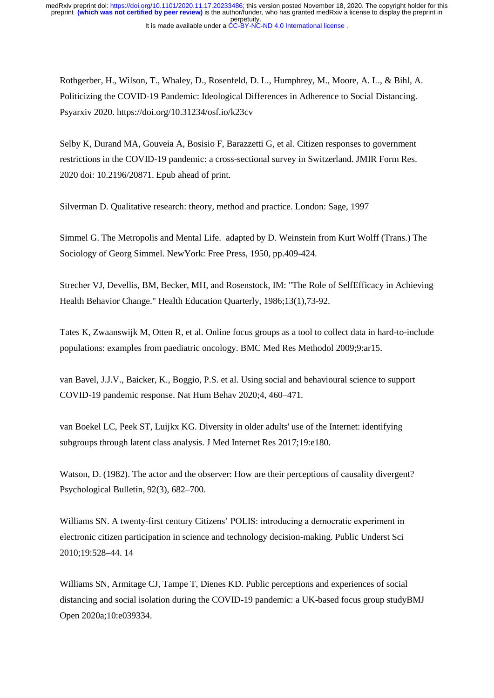It is made available under a [CC-BY-NC-ND 4.0 International license](http://creativecommons.org/licenses/by-nc-nd/4.0/) . perpetuity. preprint **(which was not certified by peer review)** is the author/funder, who has granted medRxiv a license to display the preprint in medRxiv preprint doi: [https://doi.org/10.1101/2020.11.17.20233486;](https://doi.org/10.1101/2020.11.17.20233486) this version posted November 18, 2020. The copyright holder for this

Rothgerber, H., Wilson, T., Whaley, D., Rosenfeld, D. L., Humphrey, M., Moore, A. L., & Bihl, A. Politicizing the COVID-19 Pandemic: Ideological Differences in Adherence to Social Distancing. Psyarxiv 2020. https://doi.org/10.31234/osf.io/k23cv

Selby K, Durand MA, Gouveia A, Bosisio F, Barazzetti G, et al. Citizen responses to government restrictions in the COVID-19 pandemic: a cross-sectional survey in Switzerland. JMIR Form Res. 2020 doi: 10.2196/20871. Epub ahead of print.

Silverman D. Qualitative research: theory, method and practice. London: Sage, 1997

Simmel G. The Metropolis and Mental Life. adapted by D. Weinstein from Kurt Wolff (Trans.) The Sociology of Georg Simmel. NewYork: Free Press, 1950, pp.409-424.

Strecher VJ, Devellis, BM, Becker, MH, and Rosenstock, IM: "The Role of SelfEfficacy in Achieving Health Behavior Change." Health Education Quarterly, 1986;13(1),73-92.

Tates K, Zwaanswijk M, Otten R, et al. Online focus groups as a tool to collect data in hard-to-include populations: examples from paediatric oncology. BMC Med Res Methodol 2009;9:ar15.

van Bavel, J.J.V., Baicker, K., Boggio, P.S. et al. Using social and behavioural science to support COVID-19 pandemic response. Nat Hum Behav 2020;4, 460–471.

van Boekel LC, Peek ST, Luijkx KG. Diversity in older adults' use of the Internet: identifying subgroups through latent class analysis. J Med Internet Res 2017;19:e180.

Watson, D. (1982). The actor and the observer: How are their perceptions of causality divergent? Psychological Bulletin, 92(3), 682–700.

Williams SN. A twenty-first century Citizens' POLIS: introducing a democratic experiment in electronic citizen participation in science and technology decision-making. Public Underst Sci 2010;19:528–44. 14

Williams SN, Armitage CJ, Tampe T, Dienes KD. Public perceptions and experiences of social distancing and social isolation during the COVID-19 pandemic: a UK-based focus group studyBMJ Open 2020a;10:e039334.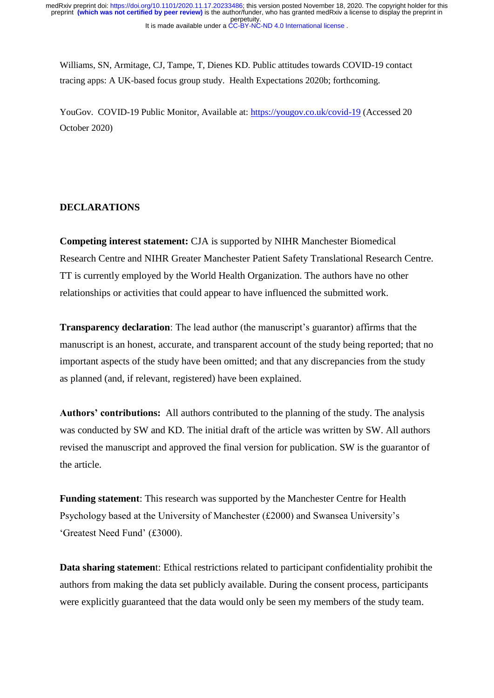Williams, SN, Armitage, CJ, Tampe, T, Dienes KD. Public attitudes towards COVID-19 contact tracing apps: A UK-based focus group study. Health Expectations 2020b; forthcoming.

YouGov. COVID-19 Public Monitor, Available at:<https://yougov.co.uk/covid-19> (Accessed 20 October 2020)

# **DECLARATIONS**

**Competing interest statement:** CJA is supported by NIHR Manchester Biomedical Research Centre and NIHR Greater Manchester Patient Safety Translational Research Centre. TT is currently employed by the World Health Organization. The authors have no other relationships or activities that could appear to have influenced the submitted work.

**Transparency declaration**: The lead author (the manuscript's guarantor) affirms that the manuscript is an honest, accurate, and transparent account of the study being reported; that no important aspects of the study have been omitted; and that any discrepancies from the study as planned (and, if relevant, registered) have been explained.

**Authors' contributions:** All authors contributed to the planning of the study. The analysis was conducted by SW and KD. The initial draft of the article was written by SW. All authors revised the manuscript and approved the final version for publication. SW is the guarantor of the article.

**Funding statement**: This research was supported by the Manchester Centre for Health Psychology based at the University of Manchester (£2000) and Swansea University's 'Greatest Need Fund' (£3000).

**Data sharing statemen**t: Ethical restrictions related to participant confidentiality prohibit the authors from making the data set publicly available. During the consent process, participants were explicitly guaranteed that the data would only be seen my members of the study team.